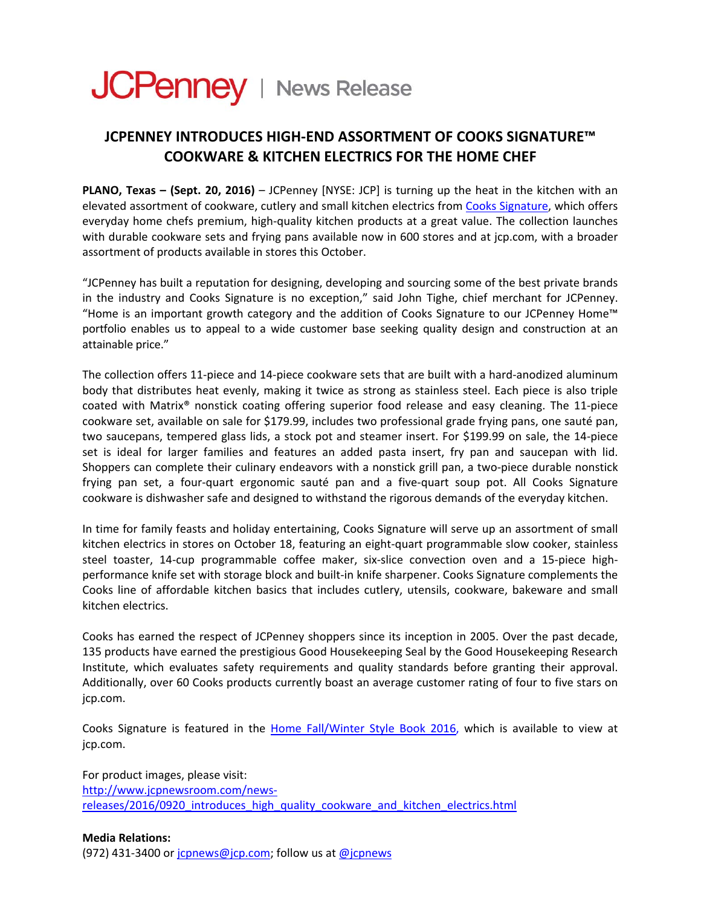## JCPenney | News Release

## **JCPENNEY INTRODUCES HIGH‐END ASSORTMENT OF COOKS SIGNATURE™ COOKWARE & KITCHEN ELECTRICS FOR THE HOME CHEF**

**PLANO, Texas – (Sept. 20, 2016)** – JCPenney [NYSE: JCP] is turning up the heat in the kitchen with an elevated assortment of cookware, cutlery and small kitchen electrics from Cooks [Signature,](http://www.jcpenney.com/jsp/search/results.jsp?fromSearch=true&searchType=Recent%20Search&Ntt=cooks+signature&ruleZoneName=XGNSZone&successPage=null&_dyncharset=UTF-8&rootContentItemType=XGNS) which offers everyday home chefs premium, high-quality kitchen products at a great value. The collection launches with durable cookware sets and frying pans available now in 600 stores and at jcp.com, with a broader assortment of products available in stores this October.

"JCPenney has built a reputation for designing, developing and sourcing some of the best private brands in the industry and Cooks Signature is no exception," said John Tighe, chief merchant for JCPenney. "Home is an important growth category and the addition of Cooks Signature to our JCPenney Home™ portfolio enables us to appeal to a wide customer base seeking quality design and construction at an attainable price."

The collection offers 11-piece and 14-piece cookware sets that are built with a hard-anodized aluminum body that distributes heat evenly, making it twice as strong as stainless steel. Each piece is also triple coated with Matrix® nonstick coating offering superior food release and easy cleaning. The 11‐piece cookware set, available on sale for \$179.99, includes two professional grade frying pans, one sauté pan, two saucepans, tempered glass lids, a stock pot and steamer insert. For \$199.99 on sale, the 14‐piece set is ideal for larger families and features an added pasta insert, fry pan and saucepan with lid. Shoppers can complete their culinary endeavors with a nonstick grill pan, a two‐piece durable nonstick frying pan set, a four‐quart ergonomic sauté pan and a five‐quart soup pot. All Cooks Signature cookware is dishwasher safe and designed to withstand the rigorous demands of the everyday kitchen.

In time for family feasts and holiday entertaining, Cooks Signature will serve up an assortment of small kitchen electrics in stores on October 18, featuring an eight-quart programmable slow cooker, stainless steel toaster, 14‐cup programmable coffee maker, six‐slice convection oven and a 15‐piece high‐ performance knife set with storage block and built‐in knife sharpener. Cooks Signature complements the Cooks line of affordable kitchen basics that includes cutlery, utensils, cookware, bakeware and small kitchen electrics.

Cooks has earned the respect of JCPenney shoppers since its inception in 2005. Over the past decade, 135 products have earned the prestigious Good Housekeeping Seal by the Good Housekeeping Research Institute, which evaluates safety requirements and quality standards before granting their approval. Additionally, over 60 Cooks products currently boast an average customer rating of four to five stars on jcp.com.

Cooks Signature is featured in the Home [Fall/Winter](http://www.jcpenney.com/jsp/browse/marketing/promotion.jsp?pageId=pg40030000010&cmJCP_T=G1&cmJCP_C=D16.) Style Book 2016, which is available to view at jcp.com.

For product images, please visit: [http://www.jcpnewsroom.com/news](http://www.jcpnewsroom.com/news-releases/2016/0920_introduces_high_quality_cookware_and_kitchen_electrics.html)‐ [releases/2016/0920\\_introduces\\_high\\_quality\\_cookware\\_and\\_kitchen\\_electrics.html](http://www.jcpnewsroom.com/news-releases/2016/0920_introduces_high_quality_cookware_and_kitchen_electrics.html)

## **Media Relations:**

(972) 431-3400 or [jcpnews@jcp.com](mailto:jcpnews@jcp.com); follow us at [@jcpnews](https://twitter.com/jcpnews)